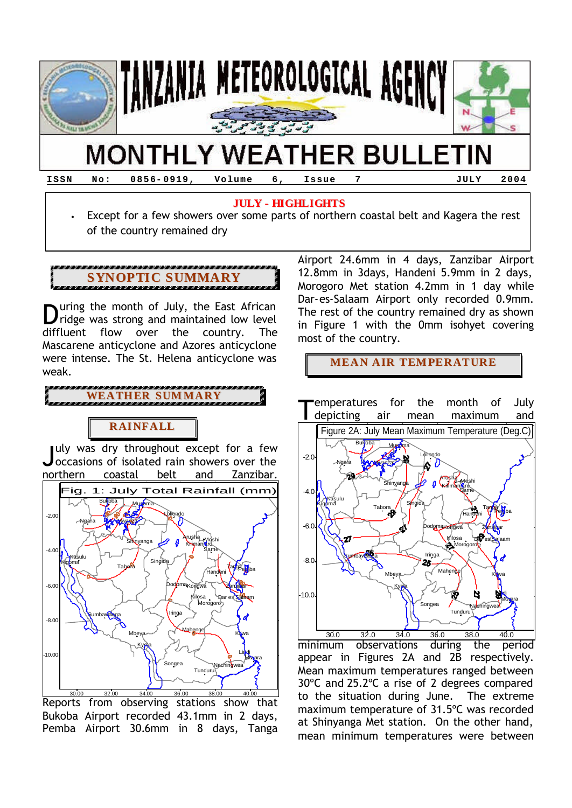

# **MONTHLY WEATHER BULLETIN**

**ISSN No: 0856- 0919, Volume 6, Issue 7 JULY 2004**

## **JULY - HIGHLIGHTS**

• Except for a few showers over some parts of northern coastal belt and Kagera the rest of the country remained dry

## **SYNOPTIC SUMMARY**

uring the month of July, the East African **D**uring the month of July, the East African<br>
ridge was strong and maintained low level diffluent flow over the country. The Mascarene anticyclone and Azores anticyclone were intense. The St. Helena anticyclone was weak.

**WEATHER SUMMARY**

## **RAINFALL**

July was dry throughout except for a few<br>Joccasions of isolated rain showers over the occasions of isolated rain showers over the northern coastal belt and Zanzibar.



Reports from observing stations show that Bukoba Airport recorded 43.1mm in 2 days, Pemba Airport 30.6mm in 8 days, Tanga

Airport 24.6mm in 4 days, Zanzibar Airport 12.8mm in 3days, Handeni 5.9mm in 2 days, Morogoro Met station 4.2mm in 1 day while Dar-es-Salaam Airport only recorded 0.9mm. The rest of the country remained dry as shown in Figure 1 with the 0mm isohyet covering most of the country.

**MEAN AIR TEMPERATURE**



minimum observations during the period appear in Figures 2A and 2B respectively. Mean maximum temperatures ranged between 30ºC and 25.2ºC a rise of 2 degrees compared to the situation during June. The extreme maximum temperature of 31.5ºC was recorded at Shinyanga Met station. On the other hand, mean minimum temperatures were between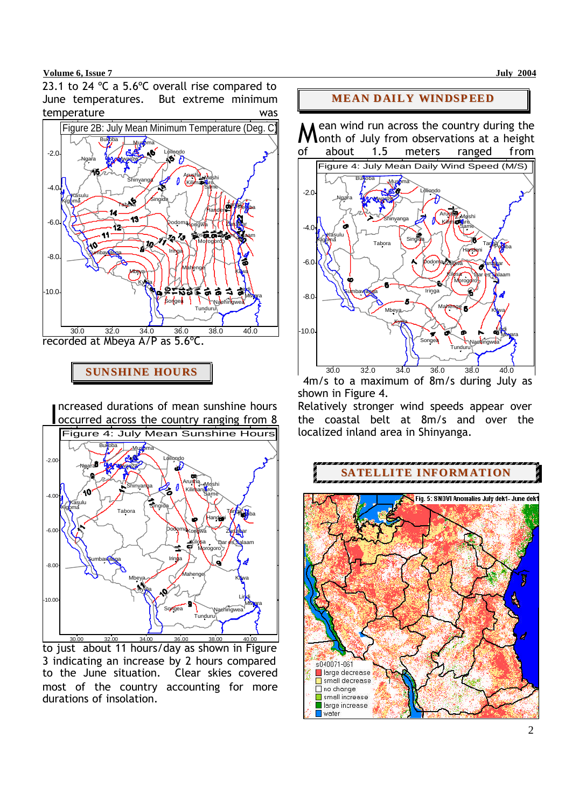### **Volume 6, Issue 7 July 2004**

23.1 to 24 °C a 5.6°C overall rise compared to June temperatures. But extreme minimum temperature was



recorded at Mbeya A/P as 5.6ºC.

**SUNSHINE HOURS**

ncreased durations of mean sunshine hours occurred across the country ranging from 8  $\overline{\phantom{0}}$ 



Letthe 30.00 32.00 34.00 36.00 38.00 38.00 40.00 Just about 11 hours/day as shown in Figure 3 indicating an increase by 2 hours compared to the June situation. Clear skies covered most of the country accounting for more durations of insolation.

## **MEAN DAILY WINDSPEED**

ean wind run across the country during the onth of July from observations at a height of about 1.5 meters ranged from M



 4m/s to a maximum of 8m/s during July as shown in Figure 4.

Relatively stronger wind speeds appear over the coastal belt at 8m/s and over the localized inland area in Shinyanga.